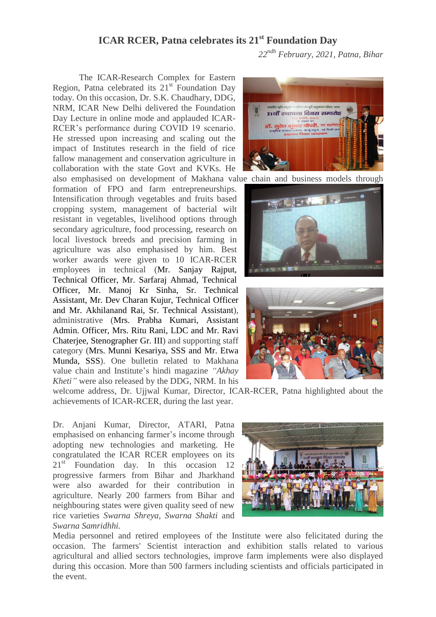## **ICAR RCER, Patna celebrates its 21 st Foundation Day**

*22ndh February, 2021, Patna, Bihar*

The ICAR-Research Complex for Eastern Region, Patna celebrated its  $21<sup>st</sup>$  Foundation Day today. On this occasion, Dr. S.K. Chaudhary, DDG, NRM, ICAR New Delhi delivered the Foundation Day Lecture in online mode and applauded ICAR-RCER's performance during COVID 19 scenario. He stressed upon increasing and scaling out the impact of Institutes research in the field of rice fallow management and conservation agriculture in collaboration with the state Govt and KVKs. He

formation of FPO and farm entrepreneurships. Intensification through vegetables and fruits based cropping system, management of bacterial wilt resistant in vegetables, livelihood options through secondary agriculture, food processing, research on local livestock breeds and precision farming in agriculture was also emphasised by him. Best worker awards were given to 10 ICAR-RCER employees in technical (Mr. Sanjay Rajput, Technical Officer, Mr. Sarfaraj Ahmad, Technical Officer, Mr. Manoj Kr Sinha, Sr. Technical Assistant, Mr. Dev Charan Kujur, Technical Officer and Mr. Akhilanand Rai, Sr. Technical Assistant), administrative (Mrs. Prabha Kumari, Assistant Admin. Officer, Mrs. Ritu Rani, LDC and Mr. Ravi Chaterjee, Stenographer Gr. III) and supporting staff category (Mrs. Munni Kesariya, SSS and Mr. Etwa Munda, SSS). One bulletin related to Makhana value chain and Institute's hindi magazine *"Akhay Kheti"* were also released by the DDG, NRM. In his

welcome address, Dr. Ujjwal Kumar, Director, ICAR-RCER, Patna highlighted about the achievements of ICAR-RCER, during the last year.

Dr. Anjani Kumar, Director, ATARI, Patna emphasised on enhancing farmer's income through adopting new technologies and marketing. He congratulated the ICAR RCER employees on its 21<sup>st</sup> Foundation day. In this occasion 12 progressive farmers from Bihar and Jharkhand were also awarded for their contribution in agriculture. Nearly 200 farmers from Bihar and neighbouring states were given quality seed of new rice varieties *Swarna Shreya, Swarna Shakti* and *Swarna Samridhhi.* 



Media personnel and retired employees of the Institute were also felicitated during the occasion. The farmers' Scientist interaction and exhibition stalls related to various agricultural and allied sectors technologies, improve farm implements were also displayed during this occasion. More than 500 farmers including scientists and officials participated in the event.



also emphasised on development of Makhana value chain and business models through